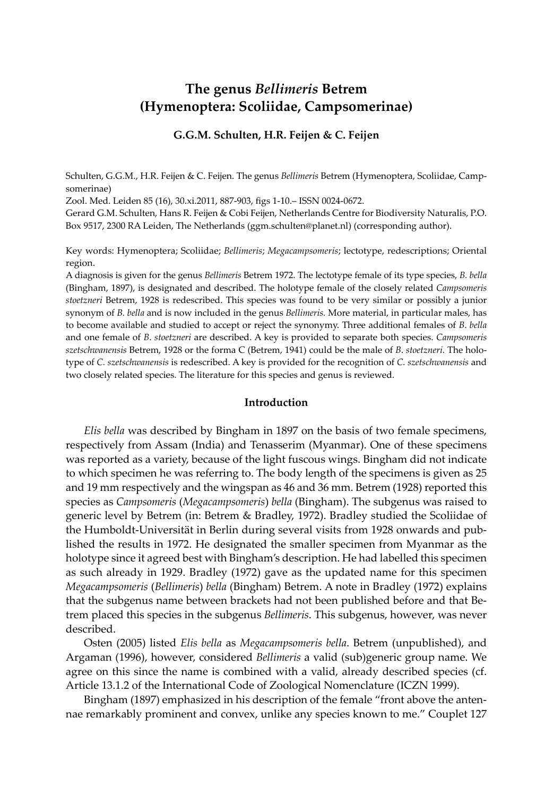# **The genus** *Bellimeris* **Betrem (Hymenoptera: Scoliidae, Campsomerinae)**

### **G.G.M. Schulten, H.R. Feijen & C. Feijen**

Schulten, G.G.M., H.R. Feijen & C. Feijen. The genus *Bellimeris* Betrem (Hymenoptera, Scoliidae, Campsomerinae)

Zool. Med. Leiden 85 (16), 30.xi.2011, 887-903, figs 1-10.– ISSN 0024-0672.

Gerard G.M. Schulten, Hans R. Feijen & Cobi Feijen, Netherlands Centre for Biodiversity Naturalis, P.O. Box 9517, 2300 RA Leiden, The Netherlands (ggm.schulten@planet.nl) (corresponding author).

Key words: Hymenoptera; Scoliidae; *Bellimeris*; *Megacampsomeris*; lectotype, redescriptions; Oriental region.

A diagnosis is given for the genus *Bellimeris* Betrem 1972. The lectotype female of its type species, *B. bella* (Bingham, 1897), is designated and described. The holotype female of the closely related *Campsomeris stoetzneri* Betrem, 1928 is redescribed. This species was found to be very similar or possibly a junior synonym of *B. bella* and is now included in the genus *Bellimeris.* More material, in particular males, has to become available and studied to accept or reject the synonymy. Three additional females of *B*. *bella* and one female of *B*. *stoetzneri* are described. A key is provided to separate both species. *Campsomeris szetschwanensis* Betrem, 1928 or the forma C (Betrem, 1941) could be the male of *B*. *stoetzneri.* The holotype of *C. szetschwanensis* is redescribed. A key is provided for the recognition of *C. szetschwanensis* and two closely related species. The literature for this species and genus is reviewed.

### **Introduction**

*Elis bella* was described by Bingham in 1897 on the basis of two female specimens, respectively from Assam (India) and Tenasserim (Myanmar). One of these specimens was reported as a variety, because of the light fuscous wings. Bingham did not indicate to which specimen he was referring to. The body length of the specimens is given as 25 and 19 mm respectively and the wingspan as 46 and 36 mm. Betrem (1928) reported this species as *Campsomeris* (*Megacampsomeris*) *bella* (Bingham). The subgenus was raised to generic level by Betrem (in: Betrem & Bradley, 1972). Bradley studied the Scoliidae of the Humboldt-Universität in Berlin during several visits from 1928 onwards and published the results in 1972. He designated the smaller specimen from Myanmar as the holotype since it agreed best with Bingham's description. He had labelled this specimen as such already in 1929. Bradley (1972) gave as the updated name for this specimen *Megacampsomeris* (*Bellimeris*) *bella* (Bingham) Betrem. A note in Bradley (1972) explains that the subgenus name between brackets had not been published before and that Betrem placed this species in the subgenus *Bellimeris*. This subgenus, however, was never described.

Osten (2005) listed *Elis bella* as *Megacampsomeris bella*. Betrem (unpublished), and Argaman (1996), however, considered *Bellimeris* a valid (sub)generic group name. We agree on this since the name is combined with a valid, already described species (cf. Article 13.1.2 of the International Code of Zoological Nomenclature (ICZN 1999).

Bingham (1897) emphasized in his description of the female "front above the antennae remarkably prominent and convex, unlike any species known to me." Couplet 127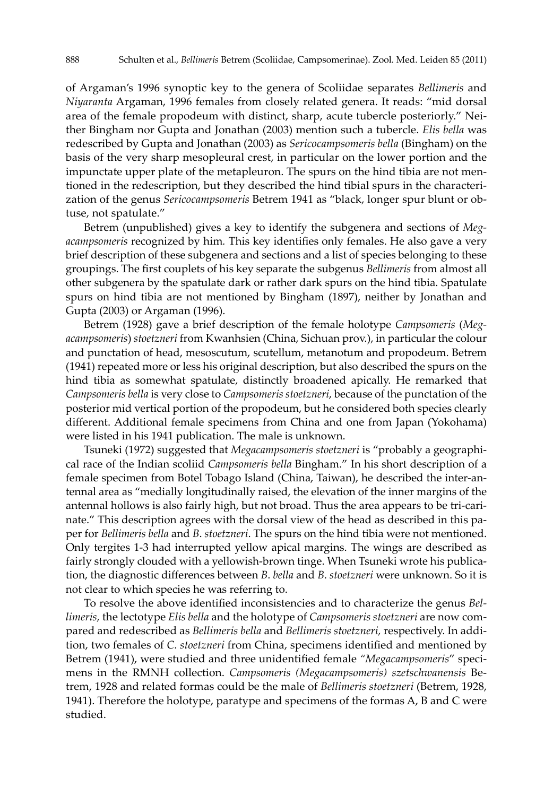of Argaman's 1996 synoptic key to the genera of Scoliidae separates *Bellimeris* and *Niyaranta* Argaman, 1996 females from closely related genera. It reads: "mid dorsal area of the female propodeum with distinct, sharp, acute tubercle posteriorly." Neither Bingham nor Gupta and Jonathan (2003) mention such a tubercle. *Elis bella* was redescribed by Gupta and Jonathan (2003) as *Sericocampsomeris bella* (Bingham) on the basis of the very sharp mesopleural crest, in particular on the lower portion and the impunctate upper plate of the metapleuron. The spurs on the hind tibia are not mentioned in the redescription, but they described the hind tibial spurs in the characterization of the genus *Sericocampsomeris* Betrem 1941 as "black, longer spur blunt or obtuse, not spatulate."

Betrem (unpublished) gives a key to identify the subgenera and sections of *Megacampsomeris* recognized by him*.* This key identifies only females. He also gave a very brief description of these subgenera and sections and a list of species belonging to these groupings. The first couplets of his key separate the subgenus *Bellimeris* from almost all other subgenera by the spatulate dark or rather dark spurs on the hind tibia. Spatulate spurs on hind tibia are not mentioned by Bingham (1897), neither by Jonathan and Gupta (2003) or Argaman (1996).

Betrem (1928) gave a brief description of the female holotype *Campsomeris* (*Megacampsomeris*) *stoetzneri* from Kwanhsien (China, Sichuan prov.), in particular the colour and punctation of head, mesoscutum, scutellum, metanotum and propodeum. Betrem (1941) repeated more or less his original description, but also described the spurs on the hind tibia as somewhat spatulate, distinctly broadened apically. He remarked that *Campsomeris bella* is very close to *Campsomeris stoetzneri*, because of the punctation of the posterior mid vertical portion of the propodeum, but he considered both species clearly different. Additional female specimens from China and one from Japan (Yokohama) were listed in his 1941 publication. The male is unknown.

Tsuneki (1972) suggested that *Megacampsomeris stoetzneri* is "probably a geographical race of the Indian scoliid *Campsomeris bella* Bingham." In his short description of a female specimen from Botel Tobago Island (China, Taiwan), he described the inter-antennal area as "medially longitudinally raised, the elevation of the inner margins of the antennal hollows is also fairly high, but not broad. Thus the area appears to be tri-carinate." This description agrees with the dorsal view of the head as described in this paper for *Bellimeris bella* and *B*. *stoetzneri*. The spurs on the hind tibia were not mentioned. Only tergites 1-3 had interrupted yellow apical margins. The wings are described as fairly strongly clouded with a yellowish-brown tinge. When Tsuneki wrote his publication, the diagnostic differences between *B*. *bella* and *B*. *stoetzneri* were unknown. So it is not clear to which species he was referring to.

To resolve the above identified inconsistencies and to characterize the genus *Bellimeris,* the lectotype *Elis bella* and the holotype of *Campsomeris stoetzneri* are now compared and redescribed as *Bellimeris bella* and *Bellimeris stoetzneri,* respectively. In addition, two females of *C*. *stoetzneri* from China, specimens identified and mentioned by Betrem (1941), were studied and three unidentified female *"Megacampsomeris*" specimens in the RMNH collection. *Campsomeris (Megacampsomeris) szetschwanensis* Betrem, 1928 and related formas could be the male of *Bellimeris stoetzneri* (Betrem, 1928, 1941). Therefore the holotype, paratype and specimens of the formas A, B and C were studied.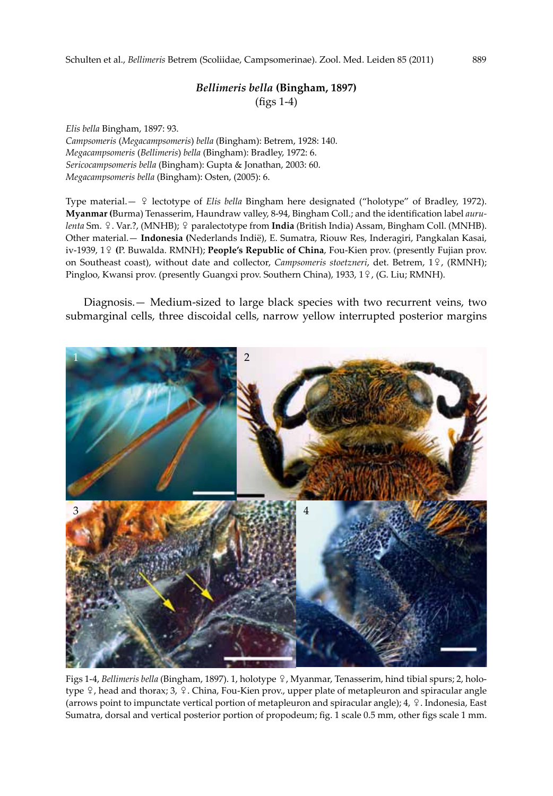# *Bellimeris bella* **(Bingham, 1897)** (figs 1-4)

*Elis bella* Bingham, 1897: 93. *Campsomeris* (*Megacampsomeris*) *bella* (Bingham): Betrem, 1928: 140. *Megacampsomeris* (*Bellimeris*) *bella* (Bingham): Bradley, 1972: 6. *Sericocampsomeris bella* (Bingham): Gupta & Jonathan, 2003: 60. *Megacampsomeris bella* (Bingham): Osten, (2005): 6.

Type material.— ♀ lectotype of *Elis bella* Bingham here designated ("holotype" of Bradley, 1972). **Myanmar (**Burma) Tenasserim, Haundraw valley, 8-94, Bingham Coll.; and the identification label *aurulenta* Sm. ♀. Var.?, (MNHB); ♀ paralectotype from **India** (British India) Assam, Bingham Coll. (MNHB). Other material.— **Indonesia (**Nederlands Indië), E. Sumatra, Riouw Res, Inderagiri, Pangkalan Kasai, iv-1939, 1♀ **(**P. Buwalda. RMNH); **People's Republic of China**, Fou-Kien prov. (presently Fujian prov. on Southeast coast), without date and collector, *Campsomeris stoetzneri*, det. Betrem, 1♀, (RMNH); Pingloo, Kwansi prov. (presently Guangxi prov. Southern China), 1933, 1♀, (G. Liu; RMNH).

Diagnosis.— Medium-sized to large black species with two recurrent veins, two submarginal cells, three discoidal cells, narrow yellow interrupted posterior margins



Figs 1-4, *Bellimeris bella* (Bingham, 1897). 1, holotype ♀, Myanmar, Tenasserim, hind tibial spurs; 2, holotype ♀, head and thorax; 3, ♀. China, Fou-Kien prov., upper plate of metapleuron and spiracular angle (arrows point to impunctate vertical portion of metapleuron and spiracular angle); 4, ♀. Indonesia, East Sumatra, dorsal and vertical posterior portion of propodeum; fig. 1 scale 0.5 mm, other figs scale 1 mm.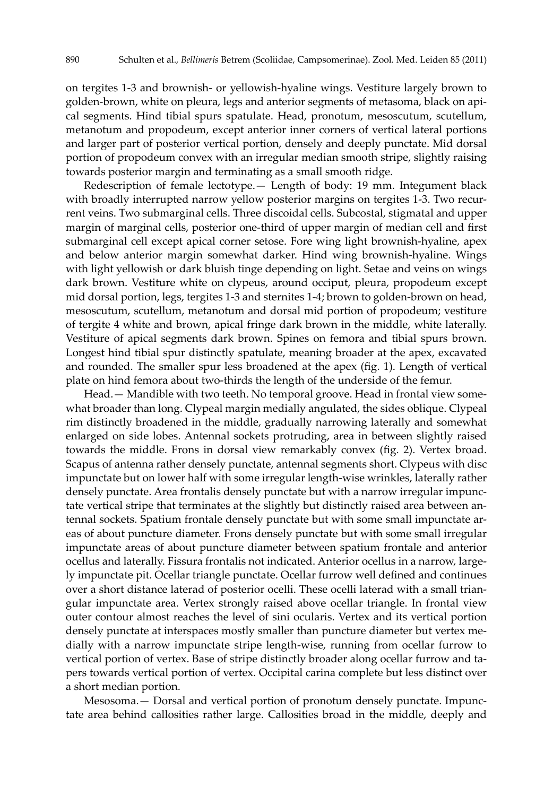on tergites 1-3 and brownish- or yellowish-hyaline wings. Vestiture largely brown to golden-brown, white on pleura, legs and anterior segments of metasoma, black on apical segments. Hind tibial spurs spatulate. Head, pronotum, mesoscutum, scutellum, metanotum and propodeum, except anterior inner corners of vertical lateral portions and larger part of posterior vertical portion, densely and deeply punctate. Mid dorsal portion of propodeum convex with an irregular median smooth stripe, slightly raising towards posterior margin and terminating as a small smooth ridge.

Redescription of female lectotype.— Length of body: 19 mm. Integument black with broadly interrupted narrow yellow posterior margins on tergites 1-3. Two recurrent veins. Two submarginal cells. Three discoidal cells. Subcostal, stigmatal and upper margin of marginal cells, posterior one-third of upper margin of median cell and first submarginal cell except apical corner setose. Fore wing light brownish-hyaline, apex and below anterior margin somewhat darker. Hind wing brownish-hyaline. Wings with light yellowish or dark bluish tinge depending on light. Setae and veins on wings dark brown. Vestiture white on clypeus, around occiput, pleura, propodeum except mid dorsal portion, legs, tergites 1-3 and sternites 1-4; brown to golden-brown on head, mesoscutum, scutellum, metanotum and dorsal mid portion of propodeum; vestiture of tergite 4 white and brown, apical fringe dark brown in the middle, white laterally. Vestiture of apical segments dark brown. Spines on femora and tibial spurs brown. Longest hind tibial spur distinctly spatulate, meaning broader at the apex, excavated and rounded. The smaller spur less broadened at the apex (fig. 1). Length of vertical plate on hind femora about two-thirds the length of the underside of the femur.

Head.— Mandible with two teeth. No temporal groove. Head in frontal view somewhat broader than long. Clypeal margin medially angulated, the sides oblique. Clypeal rim distinctly broadened in the middle, gradually narrowing laterally and somewhat enlarged on side lobes. Antennal sockets protruding, area in between slightly raised towards the middle. Frons in dorsal view remarkably convex (fig. 2). Vertex broad. Scapus of antenna rather densely punctate, antennal segments short. Clypeus with disc impunctate but on lower half with some irregular length-wise wrinkles, laterally rather densely punctate. Area frontalis densely punctate but with a narrow irregular impunctate vertical stripe that terminates at the slightly but distinctly raised area between antennal sockets. Spatium frontale densely punctate but with some small impunctate areas of about puncture diameter. Frons densely punctate but with some small irregular impunctate areas of about puncture diameter between spatium frontale and anterior ocellus and laterally. Fissura frontalis not indicated. Anterior ocellus in a narrow, largely impunctate pit. Ocellar triangle punctate. Ocellar furrow well defined and continues over a short distance laterad of posterior ocelli. These ocelli laterad with a small triangular impunctate area. Vertex strongly raised above ocellar triangle. In frontal view outer contour almost reaches the level of sini ocularis. Vertex and its vertical portion densely punctate at interspaces mostly smaller than puncture diameter but vertex medially with a narrow impunctate stripe length-wise, running from ocellar furrow to vertical portion of vertex. Base of stripe distinctly broader along ocellar furrow and tapers towards vertical portion of vertex. Occipital carina complete but less distinct over a short median portion.

Mesosoma.— Dorsal and vertical portion of pronotum densely punctate. Impunctate area behind callosities rather large. Callosities broad in the middle, deeply and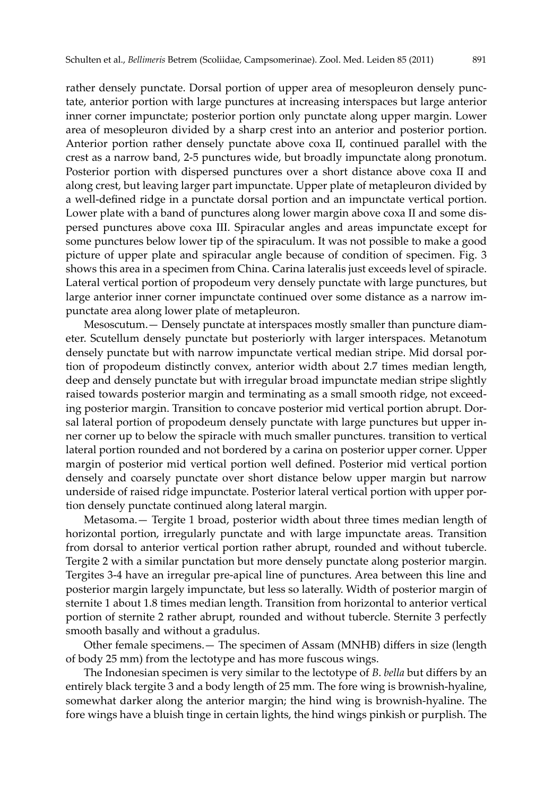rather densely punctate. Dorsal portion of upper area of mesopleuron densely punctate, anterior portion with large punctures at increasing interspaces but large anterior inner corner impunctate; posterior portion only punctate along upper margin. Lower area of mesopleuron divided by a sharp crest into an anterior and posterior portion. Anterior portion rather densely punctate above coxa II, continued parallel with the crest as a narrow band, 2-5 punctures wide, but broadly impunctate along pronotum. Posterior portion with dispersed punctures over a short distance above coxa II and along crest, but leaving larger part impunctate. Upper plate of metapleuron divided by a well-defined ridge in a punctate dorsal portion and an impunctate vertical portion. Lower plate with a band of punctures along lower margin above coxa II and some dispersed punctures above coxa III. Spiracular angles and areas impunctate except for some punctures below lower tip of the spiraculum. It was not possible to make a good picture of upper plate and spiracular angle because of condition of specimen. Fig. 3 shows this area in a specimen from China. Carina lateralis just exceeds level of spiracle. Lateral vertical portion of propodeum very densely punctate with large punctures, but large anterior inner corner impunctate continued over some distance as a narrow impunctate area along lower plate of metapleuron.

Mesoscutum.— Densely punctate at interspaces mostly smaller than puncture diameter. Scutellum densely punctate but posteriorly with larger interspaces. Metanotum densely punctate but with narrow impunctate vertical median stripe. Mid dorsal portion of propodeum distinctly convex, anterior width about 2.7 times median length, deep and densely punctate but with irregular broad impunctate median stripe slightly raised towards posterior margin and terminating as a small smooth ridge, not exceeding posterior margin. Transition to concave posterior mid vertical portion abrupt. Dorsal lateral portion of propodeum densely punctate with large punctures but upper inner corner up to below the spiracle with much smaller punctures. transition to vertical lateral portion rounded and not bordered by a carina on posterior upper corner. Upper margin of posterior mid vertical portion well defined. Posterior mid vertical portion densely and coarsely punctate over short distance below upper margin but narrow underside of raised ridge impunctate. Posterior lateral vertical portion with upper portion densely punctate continued along lateral margin.

Metasoma.— Tergite 1 broad, posterior width about three times median length of horizontal portion, irregularly punctate and with large impunctate areas. Transition from dorsal to anterior vertical portion rather abrupt, rounded and without tubercle. Tergite 2 with a similar punctation but more densely punctate along posterior margin. Tergites 3-4 have an irregular pre-apical line of punctures. Area between this line and posterior margin largely impunctate, but less so laterally. Width of posterior margin of sternite 1 about 1.8 times median length. Transition from horizontal to anterior vertical portion of sternite 2 rather abrupt, rounded and without tubercle. Sternite 3 perfectly smooth basally and without a gradulus.

Other female specimens.— The specimen of Assam (MNHB) differs in size (length of body 25 mm) from the lectotype and has more fuscous wings.

The Indonesian specimen is very similar to the lectotype of *B*. *bella* but differs by an entirely black tergite 3 and a body length of 25 mm. The fore wing is brownish-hyaline, somewhat darker along the anterior margin; the hind wing is brownish-hyaline. The fore wings have a bluish tinge in certain lights, the hind wings pinkish or purplish. The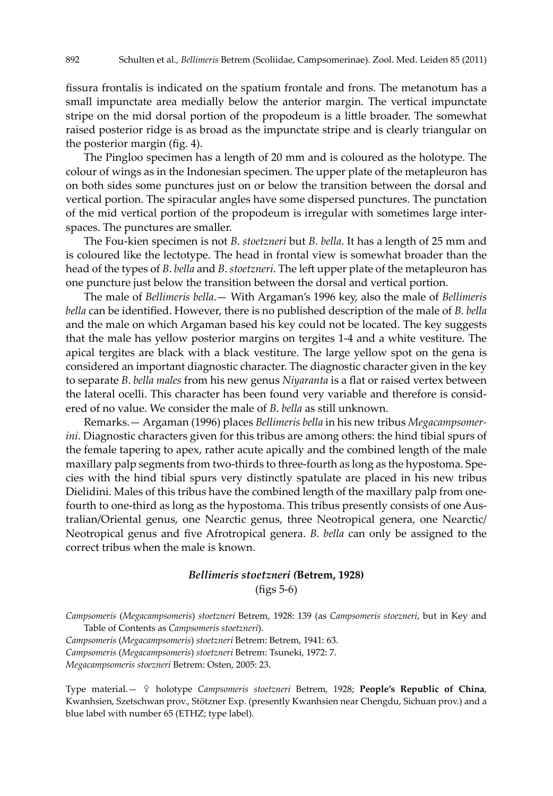fissura frontalis is indicated on the spatium frontale and frons. The metanotum has a small impunctate area medially below the anterior margin. The vertical impunctate stripe on the mid dorsal portion of the propodeum is a little broader. The somewhat raised posterior ridge is as broad as the impunctate stripe and is clearly triangular on the posterior margin (fig. 4).

The Pingloo specimen has a length of 20 mm and is coloured as the holotype. The colour of wings as in the Indonesian specimen. The upper plate of the metapleuron has on both sides some punctures just on or below the transition between the dorsal and vertical portion. The spiracular angles have some dispersed punctures. The punctation of the mid vertical portion of the propodeum is irregular with sometimes large interspaces. The punctures are smaller.

The Fou-kien specimen is not *B*. *stoetzneri* but *B*. *bella*. It has a length of 25 mm and is coloured like the lectotype. The head in frontal view is somewhat broader than the head of the types of *B*. *bella* and *B*. *stoetzneri*. The left upper plate of the metapleuron has one puncture just below the transition between the dorsal and vertical portion.

The male of *Bellimeris bella*.— With Argaman's 1996 key, also the male of *Bellimeris bella* can be identified. However, there is no published description of the male of *B*. *bella* and the male on which Argaman based his key could not be located. The key suggests that the male has yellow posterior margins on tergites 1-4 and a white vestiture. The apical tergites are black with a black vestiture. The large yellow spot on the gena is considered an important diagnostic character. The diagnostic character given in the key to separate *B*. *bella males* from his new genus *Niyaranta* is a flat or raised vertex between the lateral ocelli. This character has been found very variable and therefore is considered of no value. We consider the male of *B*. *bella* as still unknown.

Remarks.— Argaman (1996) places *Bellimeris bella* in his new tribus *Megacampsomerini*. Diagnostic characters given for this tribus are among others: the hind tibial spurs of the female tapering to apex, rather acute apically and the combined length of the male maxillary palp segments from two-thirds to three-fourth as long as the hypostoma. Species with the hind tibial spurs very distinctly spatulate are placed in his new tribus Dielidini. Males of this tribus have the combined length of the maxillary palp from onefourth to one-third as long as the hypostoma. This tribus presently consists of one Australian/Oriental genus, one Nearctic genus, three Neotropical genera, one Nearctic/ Neotropical genus and five Afrotropical genera. *B. bella* can only be assigned to the correct tribus when the male is known.

#### *Bellimeris stoetzneri (***Betrem, 1928)**

(figs 5-6)

*Campsomeris* (*Megacampsomeris*) *stoetzneri* Betrem, 1928: 139 (as *Campsomeris stoezneri*, but in Key and Table of Contents as *Campsomeris stoetzneri*).

*Campsomeris* (*Megacampsomeris*) *stoetzneri* Betrem: Betrem, 1941: 63.

*Campsomeris* (*Megacampsomeris*) *stoetzneri* Betrem: Tsuneki, 1972: 7.

*Megacampsomeris stoezneri* Betrem: Osten, 2005: 23.

Type material.— ♀ holotype *Campsomeris stoetzneri* Betrem, 1928; **People's Republic of China**, Kwanhsien, Szetschwan prov., Stötzner Exp. (presently Kwanhsien near Chengdu, Sichuan prov.) and a blue label with number 65 (ETHZ; type label).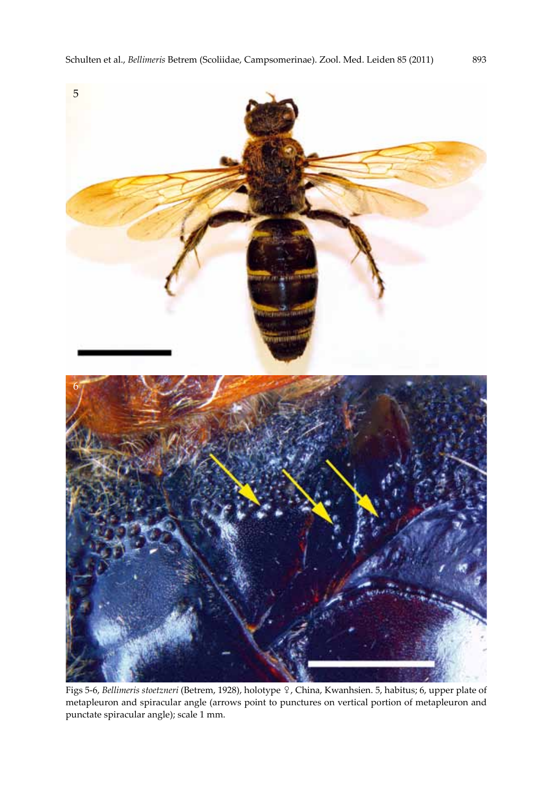

Figs 5-6, *Bellimeris stoetzneri* (Betrem, 1928), holotype ♀, China, Kwanhsien. 5, habitus; 6, upper plate of metapleuron and spiracular angle (arrows point to punctures on vertical portion of metapleuron and punctate spiracular angle); scale 1 mm.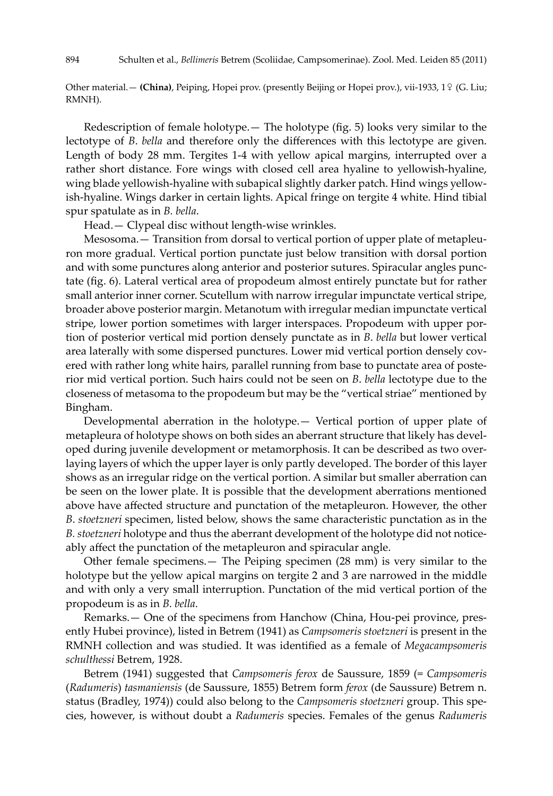Other material.— **(China)**, Peiping, Hopei prov. (presently Beijing or Hopei prov.), vii-1933, 1♀ (G. Liu; RMNH).

Redescription of female holotype.— The holotype (fig. 5) looks very similar to the lectotype of *B*. *bella* and therefore only the differences with this lectotype are given. Length of body 28 mm. Tergites 1-4 with yellow apical margins, interrupted over a rather short distance. Fore wings with closed cell area hyaline to yellowish-hyaline, wing blade yellowish-hyaline with subapical slightly darker patch. Hind wings yellowish-hyaline. Wings darker in certain lights. Apical fringe on tergite 4 white. Hind tibial spur spatulate as in *B. bella*.

Head.— Clypeal disc without length-wise wrinkles.

Mesosoma.— Transition from dorsal to vertical portion of upper plate of metapleuron more gradual. Vertical portion punctate just below transition with dorsal portion and with some punctures along anterior and posterior sutures. Spiracular angles punctate (fig. 6). Lateral vertical area of propodeum almost entirely punctate but for rather small anterior inner corner. Scutellum with narrow irregular impunctate vertical stripe, broader above posterior margin. Metanotum with irregular median impunctate vertical stripe, lower portion sometimes with larger interspaces. Propodeum with upper portion of posterior vertical mid portion densely punctate as in *B*. *bella* but lower vertical area laterally with some dispersed punctures. Lower mid vertical portion densely covered with rather long white hairs, parallel running from base to punctate area of posterior mid vertical portion. Such hairs could not be seen on *B*. *bella* lectotype due to the closeness of metasoma to the propodeum but may be the "vertical striae" mentioned by Bingham.

Developmental aberration in the holotype.— Vertical portion of upper plate of metapleura of holotype shows on both sides an aberrant structure that likely has developed during juvenile development or metamorphosis. It can be described as two overlaying layers of which the upper layer is only partly developed. The border of this layer shows as an irregular ridge on the vertical portion. A similar but smaller aberration can be seen on the lower plate. It is possible that the development aberrations mentioned above have affected structure and punctation of the metapleuron. However, the other *B*. *stoetzneri* specimen, listed below, shows the same characteristic punctation as in the *B. stoetzneri* holotype and thus the aberrant development of the holotype did not noticeably affect the punctation of the metapleuron and spiracular angle.

Other female specimens.— The Peiping specimen (28 mm) is very similar to the holotype but the yellow apical margins on tergite 2 and 3 are narrowed in the middle and with only a very small interruption. Punctation of the mid vertical portion of the propodeum is as in *B*. *bella*.

Remarks.— One of the specimens from Hanchow (China, Hou-pei province, presently Hubei province), listed in Betrem (1941) as *Campsomeris stoetzneri* is present in the RMNH collection and was studied. It was identified as a female of *Megacampsomeris schulthessi* Betrem, 1928.

Betrem (1941) suggested that *Campsomeris ferox* de Saussure, 1859 (= *Campsomeris* (*Radumeris*) *tasmaniensis* (de Saussure, 1855) Betrem form *ferox* (de Saussure) Betrem n. status (Bradley, 1974)) could also belong to the *Campsomeris stoetzneri* group. This species, however, is without doubt a *Radumeris* species. Females of the genus *Radumeris*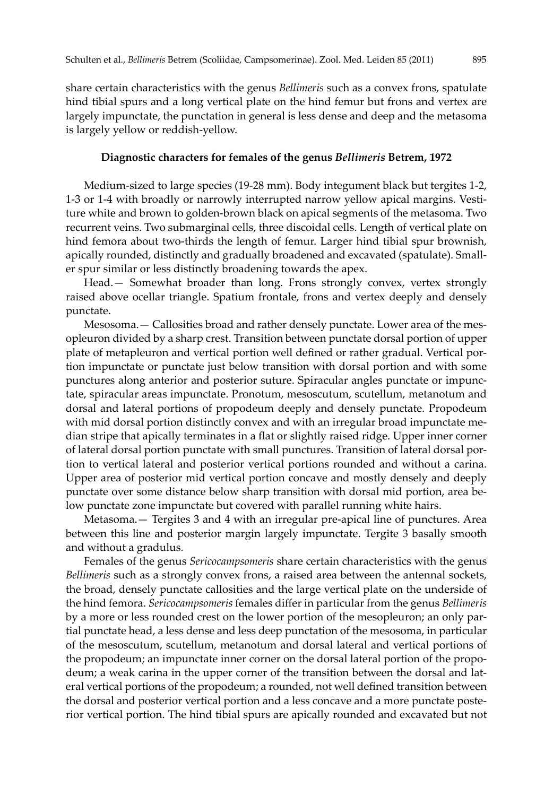share certain characteristics with the genus *Bellimeris* such as a convex frons, spatulate hind tibial spurs and a long vertical plate on the hind femur but frons and vertex are largely impunctate, the punctation in general is less dense and deep and the metasoma is largely yellow or reddish-yellow.

#### **Diagnostic characters for females of the genus** *Bellimeris* **Betrem, 1972**

Medium-sized to large species (19-28 mm). Body integument black but tergites 1-2, 1-3 or 1-4 with broadly or narrowly interrupted narrow yellow apical margins. Vestiture white and brown to golden-brown black on apical segments of the metasoma. Two recurrent veins. Two submarginal cells, three discoidal cells. Length of vertical plate on hind femora about two-thirds the length of femur. Larger hind tibial spur brownish, apically rounded, distinctly and gradually broadened and excavated (spatulate). Smaller spur similar or less distinctly broadening towards the apex.

Head.— Somewhat broader than long. Frons strongly convex, vertex strongly raised above ocellar triangle. Spatium frontale, frons and vertex deeply and densely punctate.

Mesosoma.— Callosities broad and rather densely punctate. Lower area of the mesopleuron divided by a sharp crest. Transition between punctate dorsal portion of upper plate of metapleuron and vertical portion well defined or rather gradual. Vertical portion impunctate or punctate just below transition with dorsal portion and with some punctures along anterior and posterior suture. Spiracular angles punctate or impunctate, spiracular areas impunctate. Pronotum, mesoscutum, scutellum, metanotum and dorsal and lateral portions of propodeum deeply and densely punctate. Propodeum with mid dorsal portion distinctly convex and with an irregular broad impunctate median stripe that apically terminates in a flat or slightly raised ridge. Upper inner corner of lateral dorsal portion punctate with small punctures. Transition of lateral dorsal portion to vertical lateral and posterior vertical portions rounded and without a carina. Upper area of posterior mid vertical portion concave and mostly densely and deeply punctate over some distance below sharp transition with dorsal mid portion, area below punctate zone impunctate but covered with parallel running white hairs.

Metasoma.— Tergites 3 and 4 with an irregular pre-apical line of punctures. Area between this line and posterior margin largely impunctate. Tergite 3 basally smooth and without a gradulus.

Females of the genus *Sericocampsomeris* share certain characteristics with the genus *Bellimeris* such as a strongly convex frons, a raised area between the antennal sockets, the broad, densely punctate callosities and the large vertical plate on the underside of the hind femora. *Sericocampsomeris* females differ in particular from the genus *Bellimeris* by a more or less rounded crest on the lower portion of the mesopleuron; an only partial punctate head, a less dense and less deep punctation of the mesosoma, in particular of the mesoscutum, scutellum, metanotum and dorsal lateral and vertical portions of the propodeum; an impunctate inner corner on the dorsal lateral portion of the propodeum; a weak carina in the upper corner of the transition between the dorsal and lateral vertical portions of the propodeum; a rounded, not well defined transition between the dorsal and posterior vertical portion and a less concave and a more punctate posterior vertical portion. The hind tibial spurs are apically rounded and excavated but not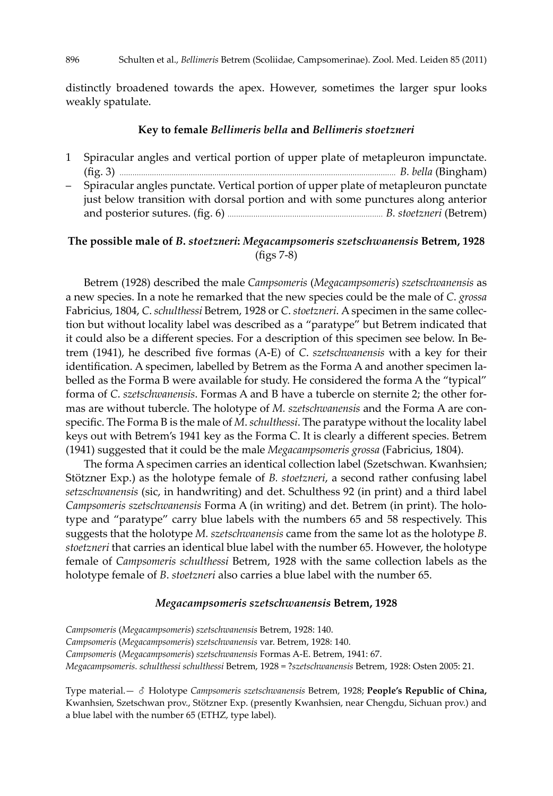distinctly broadened towards the apex. However, sometimes the larger spur looks weakly spatulate.

### **Key to female** *Bellimeris bella* **and** *Bellimeris stoetzneri*

1 Spiracular angles and vertical portion of upper plate of metapleuron impunctate. (fig. 3) ................................................................................................................................ *B. bella* (Bingham) – Spiracular angles punctate. Vertical portion of upper plate of metapleuron punctate just below transition with dorsal portion and with some punctures along anterior and posterior sutures. (fig. 6) ........................................................................ *B. stoetzneri* (Betrem)

### **The possible male of** *B***.** *stoetzneri***:** *Megacampsomeris szetschwanensis* **Betrem, 1928** (figs 7-8)

Betrem (1928) described the male *Campsomeris* (*Megacampsomeris*) *szetschwanensis* as a new species. In a note he remarked that the new species could be the male of *C*. *grossa* Fabricius, 1804, *C*. *schulthessi* Betrem, 1928 or *C*. *stoetzneri*. A specimen in the same collection but without locality label was described as a "paratype" but Betrem indicated that it could also be a different species. For a description of this specimen see below. In Betrem (1941), he described five formas (A-E) of *C*. *szetschwanensis* with a key for their identification. A specimen, labelled by Betrem as the Forma A and another specimen labelled as the Forma B were available for study. He considered the forma A the "typical" forma of *C*. *szetschwanensis*. Formas A and B have a tubercle on sternite 2; the other formas are without tubercle. The holotype of *M. szetschwanensis* and the Forma A are conspecific. The Forma B is the male of *M*. *schulthessi*. The paratype without the locality label keys out with Betrem's 1941 key as the Forma C. It is clearly a different species. Betrem (1941) suggested that it could be the male *Megacampsomeris grossa* (Fabricius, 1804).

The forma A specimen carries an identical collection label (Szetschwan. Kwanhsien; Stötzner Exp.) as the holotype female of *B. stoetzneri*, a second rather confusing label *setzschwanensis* (sic, in handwriting) and det. Schulthess 92 (in print) and a third label *Campsomeris szetschwanensis* Forma A (in writing) and det. Betrem (in print). The holotype and "paratype" carry blue labels with the numbers 65 and 58 respectively. This suggests that the holotype *M. szetschwanensis* came from the same lot as the holotype *B*. *stoetzneri* that carries an identical blue label with the number 65. However, the holotype female of *Campsomeris schulthessi* Betrem, 1928 with the same collection labels as the holotype female of *B*. *stoetzneri* also carries a blue label with the number 65.

### *Megacampsomeris szetschwanensis* **Betrem, 1928**

*Campsomeris* (*Megacampsomeris*) *szetschwanensis* Betrem, 1928: 140. *Campsomeris* (*Megacampsomeris*) *szetschwanensis* var. Betrem, 1928: 140. *Campsomeris* (*Megacampsomeris*) *szetschwanensis* Formas A-E. Betrem, 1941: 67. *Megacampsomeris. schulthessi schulthessi* Betrem, 1928 = ?*szetschwanensis* Betrem, 1928: Osten 2005: 21.

Type material.— ♂ Holotype *Campsomeris szetschwanensis* Betrem, 1928; **People's Republic of China,** Kwanhsien, Szetschwan prov., Stötzner Exp. (presently Kwanhsien, near Chengdu, Sichuan prov.) and a blue label with the number 65 (ETHZ, type label).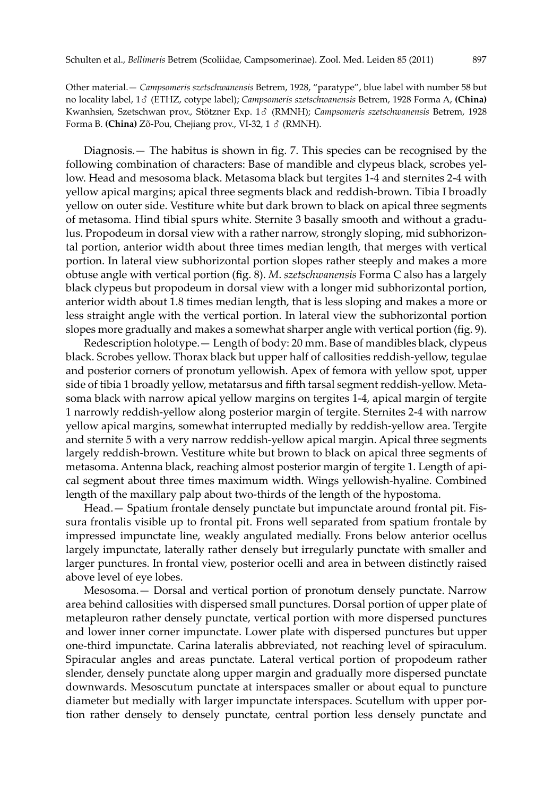Other material.— *Campsomeris szetschwanensis* Betrem, 1928, "paratype", blue label with number 58 but no locality label, 1♂ (ETHZ, cotype label); *Campsomeris szetschwanensis* Betrem, 1928 Forma A, **(China)** Kwanhsien, Szetschwan prov., Stötzner Exp. 1♂ (RMNH); *Campsomeris szetschwanensis* Betrem, 1928 Forma B. **(China)** Zõ-Pou, Chejiang prov., VI-32, 1 ♂ (RMNH).

Diagnosis.— The habitus is shown in fig. 7. This species can be recognised by the following combination of characters: Base of mandible and clypeus black, scrobes yellow. Head and mesosoma black. Metasoma black but tergites 1-4 and sternites 2-4 with yellow apical margins; apical three segments black and reddish-brown. Tibia I broadly yellow on outer side. Vestiture white but dark brown to black on apical three segments of metasoma. Hind tibial spurs white. Sternite 3 basally smooth and without a gradulus. Propodeum in dorsal view with a rather narrow, strongly sloping, mid subhorizontal portion, anterior width about three times median length, that merges with vertical portion. In lateral view subhorizontal portion slopes rather steeply and makes a more obtuse angle with vertical portion (fig. 8). *M*. *szetschwanensis* Forma C also has a largely black clypeus but propodeum in dorsal view with a longer mid subhorizontal portion, anterior width about 1.8 times median length, that is less sloping and makes a more or less straight angle with the vertical portion. In lateral view the subhorizontal portion slopes more gradually and makes a somewhat sharper angle with vertical portion (fig. 9).

Redescription holotype.— Length of body: 20 mm. Base of mandibles black, clypeus black. Scrobes yellow. Thorax black but upper half of callosities reddish-yellow, tegulae and posterior corners of pronotum yellowish. Apex of femora with yellow spot, upper side of tibia 1 broadly yellow, metatarsus and fifth tarsal segment reddish-yellow. Metasoma black with narrow apical yellow margins on tergites 1-4, apical margin of tergite 1 narrowly reddish-yellow along posterior margin of tergite. Sternites 2-4 with narrow yellow apical margins, somewhat interrupted medially by reddish-yellow area. Tergite and sternite 5 with a very narrow reddish-yellow apical margin. Apical three segments largely reddish-brown. Vestiture white but brown to black on apical three segments of metasoma. Antenna black, reaching almost posterior margin of tergite 1. Length of apical segment about three times maximum width. Wings yellowish-hyaline. Combined length of the maxillary palp about two-thirds of the length of the hypostoma.

Head.— Spatium frontale densely punctate but impunctate around frontal pit. Fissura frontalis visible up to frontal pit. Frons well separated from spatium frontale by impressed impunctate line, weakly angulated medially. Frons below anterior ocellus largely impunctate, laterally rather densely but irregularly punctate with smaller and larger punctures. In frontal view, posterior ocelli and area in between distinctly raised above level of eye lobes.

Mesosoma.— Dorsal and vertical portion of pronotum densely punctate. Narrow area behind callosities with dispersed small punctures. Dorsal portion of upper plate of metapleuron rather densely punctate, vertical portion with more dispersed punctures and lower inner corner impunctate. Lower plate with dispersed punctures but upper one-third impunctate. Carina lateralis abbreviated, not reaching level of spiraculum. Spiracular angles and areas punctate. Lateral vertical portion of propodeum rather slender, densely punctate along upper margin and gradually more dispersed punctate downwards. Mesoscutum punctate at interspaces smaller or about equal to puncture diameter but medially with larger impunctate interspaces. Scutellum with upper portion rather densely to densely punctate, central portion less densely punctate and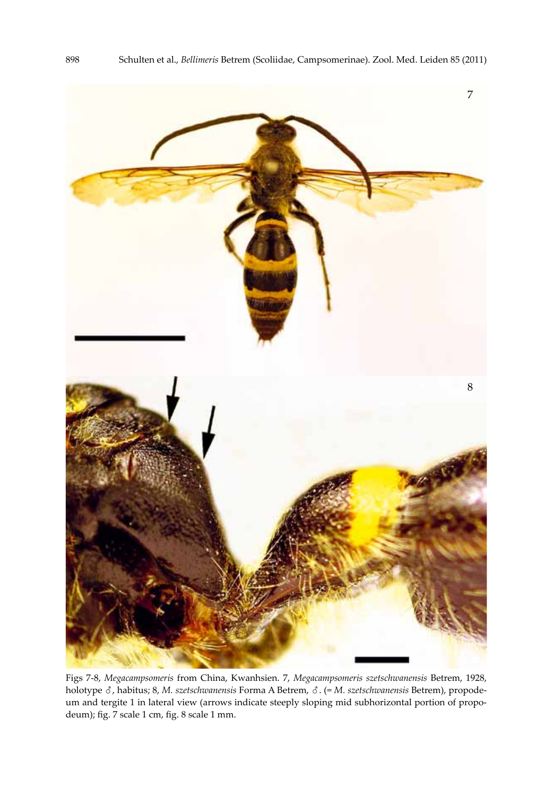

Figs 7-8, *Megacampsomeris* from China, Kwanhsien. 7, *Megacampsomeris szetschwanensis* Betrem, 1928, holotype ♂, habitus; 8, *M. szetschwanensis* Forma A Betrem, ♂. (= *M. szetschwanensis* Betrem), propodeum and tergite 1 in lateral view (arrows indicate steeply sloping mid subhorizontal portion of propodeum); fig. 7 scale 1 cm, fig. 8 scale 1 mm.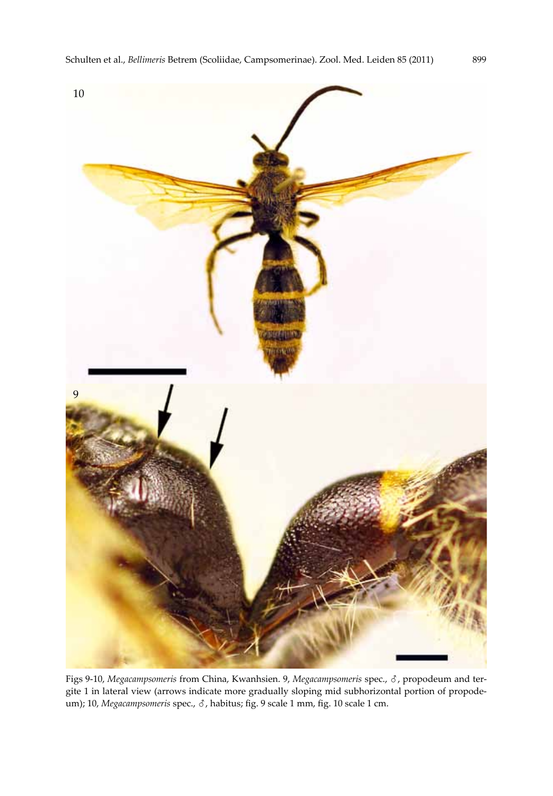

Figs 9-10, *Megacampsomeris* from China, Kwanhsien. 9, *Megacampsomeris* spec., ♂, propodeum and tergite 1 in lateral view (arrows indicate more gradually sloping mid subhorizontal portion of propodeum); 10, *Megacampsomeris* spec., ♂, habitus; fig. 9 scale 1 mm, fig. 10 scale 1 cm.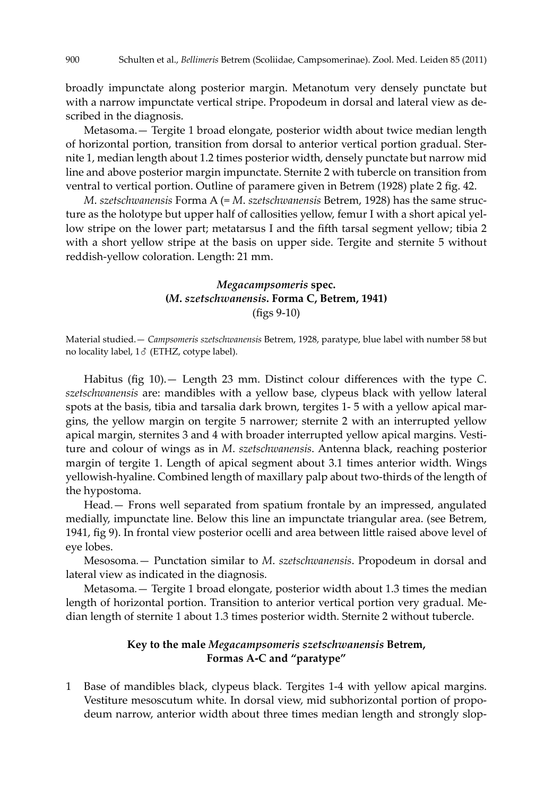broadly impunctate along posterior margin. Metanotum very densely punctate but with a narrow impunctate vertical stripe. Propodeum in dorsal and lateral view as described in the diagnosis.

Metasoma.— Tergite 1 broad elongate, posterior width about twice median length of horizontal portion, transition from dorsal to anterior vertical portion gradual. Sternite 1, median length about 1.2 times posterior width, densely punctate but narrow mid line and above posterior margin impunctate. Sternite 2 with tubercle on transition from ventral to vertical portion. Outline of paramere given in Betrem (1928) plate 2 fig. 42.

*M*. *szetschwanensis* Forma A (= *M*. *szetschwanensis* Betrem, 1928) has the same structure as the holotype but upper half of callosities yellow, femur I with a short apical yellow stripe on the lower part; metatarsus I and the fifth tarsal segment yellow; tibia 2 with a short yellow stripe at the basis on upper side. Tergite and sternite 5 without reddish-yellow coloration. Length: 21 mm.

### *Megacampsomeris* **spec. (***M***.** *szetschwanensis***. Forma C, Betrem, 1941)** (figs 9-10)

Material studied.— *Campsomeris szetschwanensis* Betrem, 1928, paratype, blue label with number 58 but no locality label, 1♂ (ETHZ, cotype label).

Habitus (fig 10).— Length 23 mm. Distinct colour differences with the type *C*. *szetschwanensis* are: mandibles with a yellow base, clypeus black with yellow lateral spots at the basis, tibia and tarsalia dark brown, tergites 1- 5 with a yellow apical margins, the yellow margin on tergite 5 narrower; sternite 2 with an interrupted yellow apical margin, sternites 3 and 4 with broader interrupted yellow apical margins. Vestiture and colour of wings as in *M*. *szetschwanensis*. Antenna black, reaching posterior margin of tergite 1. Length of apical segment about 3.1 times anterior width. Wings yellowish-hyaline. Combined length of maxillary palp about two-thirds of the length of the hypostoma.

Head*.*— Frons well separated from spatium frontale by an impressed, angulated medially, impunctate line. Below this line an impunctate triangular area. (see Betrem, 1941, fig 9). In frontal view posterior ocelli and area between little raised above level of eye lobes.

Mesosoma*.*— Punctation similar to *M*. *szetschwanensis*. Propodeum in dorsal and lateral view as indicated in the diagnosis.

Metasoma*.*— Tergite 1 broad elongate, posterior width about 1.3 times the median length of horizontal portion. Transition to anterior vertical portion very gradual. Median length of sternite 1 about 1.3 times posterior width. Sternite 2 without tubercle.

## **Key to the male** *Megacampsomeris szetschwanensis* **Betrem, Formas A-C and "paratype"**

Base of mandibles black, clypeus black. Tergites 1-4 with yellow apical margins. Vestiture mesoscutum white. In dorsal view, mid subhorizontal portion of propodeum narrow, anterior width about three times median length and strongly slop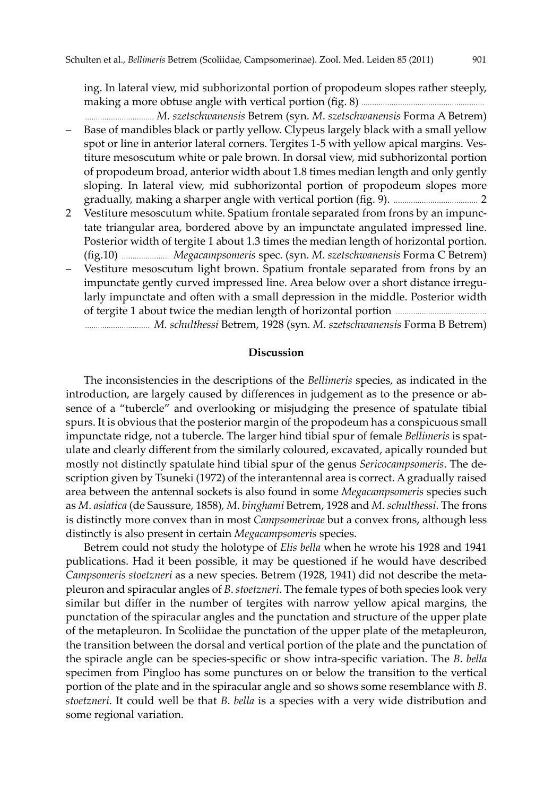ing. In lateral view, mid subhorizontal portion of propodeum slopes rather steeply, making a more obtuse angle with vertical portion (fig. 8) .........................................................

- ................................ *M. szetschwanensis* Betrem (syn. *M*. *szetschwanensis* Forma A Betrem) – Base of mandibles black or partly yellow. Clypeus largely black with a small yellow spot or line in anterior lateral corners. Tergites 1-5 with yellow apical margins. Vestiture mesoscutum white or pale brown. In dorsal view, mid subhorizontal portion of propodeum broad, anterior width about 1.8 times median length and only gently sloping. In lateral view, mid subhorizontal portion of propodeum slopes more gradually, making a sharper angle with vertical portion (fig. 9). ....................................... 2
- 2 Vestiture mesoscutum white. Spatium frontale separated from frons by an impunctate triangular area, bordered above by an impunctate angulated impressed line. Posterior width of tergite 1 about 1.3 times the median length of horizontal portion. (fig.10) ...................... *Megacampsomeris* spec. (syn. *M*. *szetschwanensis* Forma C Betrem)
- Vestiture mesoscutum light brown. Spatium frontale separated from frons by an impunctate gently curved impressed line. Area below over a short distance irregularly impunctate and often with a small depression in the middle. Posterior width of tergite 1 about twice the median length of horizontal portion .......................................... .............................. *M. schulthessi* Betrem, 1928 (syn. *M*. *szetschwanensis* Forma B Betrem)

### **Discussion**

The inconsistencies in the descriptions of the *Bellimeris* species, as indicated in the introduction, are largely caused by differences in judgement as to the presence or absence of a "tubercle" and overlooking or misjudging the presence of spatulate tibial spurs. It is obvious that the posterior margin of the propodeum has a conspicuous small impunctate ridge, not a tubercle. The larger hind tibial spur of female *Bellimeris* is spatulate and clearly different from the similarly coloured, excavated, apically rounded but mostly not distinctly spatulate hind tibial spur of the genus *Sericocampsomeris*. The description given by Tsuneki (1972) of the interantennal area is correct. A gradually raised area between the antennal sockets is also found in some *Megacampsomeris* species such as *M*. *asiatica* (de Saussure, 1858)*, M*. *binghami* Betrem, 1928 and *M*. *schulthessi*. The frons is distinctly more convex than in most *Campsomerinae* but a convex frons, although less distinctly is also present in certain *Megacampsomeris* species.

Betrem could not study the holotype of *Elis bella* when he wrote his 1928 and 1941 publications. Had it been possible, it may be questioned if he would have described *Campsomeris stoetzneri* as a new species. Betrem (1928, 1941) did not describe the metapleuron and spiracular angles of *B*. *stoetzneri*. The female types of both species look very similar but differ in the number of tergites with narrow yellow apical margins, the punctation of the spiracular angles and the punctation and structure of the upper plate of the metapleuron. In Scoliidae the punctation of the upper plate of the metapleuron, the transition between the dorsal and vertical portion of the plate and the punctation of the spiracle angle can be species-specific or show intra-specific variation. The *B*. *bella*  specimen from Pingloo has some punctures on or below the transition to the vertical portion of the plate and in the spiracular angle and so shows some resemblance with *B*. *stoetzneri*. It could well be that *B*. *bella* is a species with a very wide distribution and some regional variation.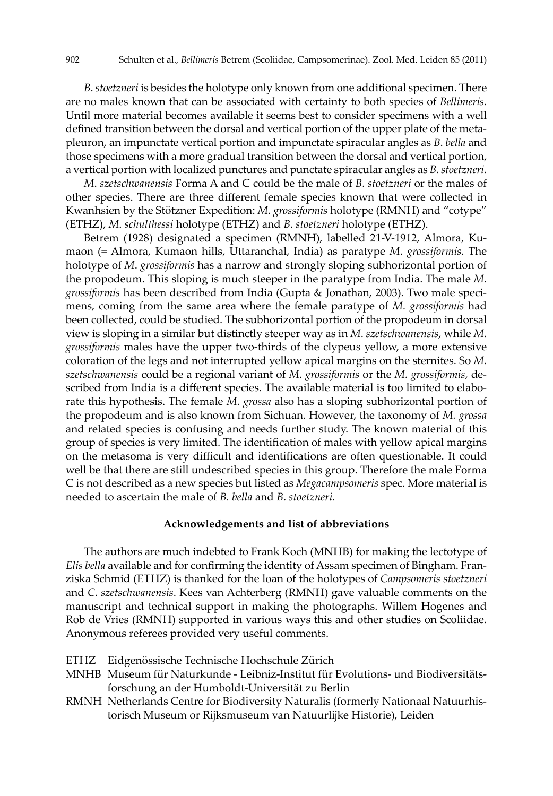*B*. *stoetzneri* is besides the holotype only known from one additional specimen. There are no males known that can be associated with certainty to both species of *Bellimeris*. Until more material becomes available it seems best to consider specimens with a well defined transition between the dorsal and vertical portion of the upper plate of the metapleuron, an impunctate vertical portion and impunctate spiracular angles as *B*. *bella* and those specimens with a more gradual transition between the dorsal and vertical portion, a vertical portion with localized punctures and punctate spiracular angles as *B*. *stoetzneri*.

*M*. *szetschwanensis* Forma A and C could be the male of *B*. *stoetzneri* or the males of other species. There are three different female species known that were collected in Kwanhsien by the Stötzner Expedition: *M*. *grossiformis* holotype (RMNH) and "cotype" (ETHZ), *M*. *schulthessi* holotype (ETHZ) and *B*. *stoetzneri* holotype (ETHZ).

Betrem (1928) designated a specimen (RMNH), labelled 21-V-1912, Almora, Kumaon (= Almora, Kumaon hills, Uttaranchal, India) as paratype *M*. *grossiformis*. The holotype of *M*. *grossiformis* has a narrow and strongly sloping subhorizontal portion of the propodeum. This sloping is much steeper in the paratype from India. The male *M. grossiformis* has been described from India (Gupta & Jonathan, 2003). Two male specimens, coming from the same area where the female paratype of *M. grossiformis* had been collected, could be studied. The subhorizontal portion of the propodeum in dorsal view is sloping in a similar but distinctly steeper way as in *M*. *szetschwanensis*, while *M*. *grossiformis* males have the upper two-thirds of the clypeus yellow, a more extensive coloration of the legs and not interrupted yellow apical margins on the sternites. So *M*. *szetschwanensis* could be a regional variant of *M*. *grossiformis* or the *M. grossiformis*, described from India is a different species. The available material is too limited to elaborate this hypothesis. The female *M*. *grossa* also has a sloping subhorizontal portion of the propodeum and is also known from Sichuan. However, the taxonomy of *M. grossa* and related species is confusing and needs further study. The known material of this group of species is very limited. The identification of males with yellow apical margins on the metasoma is very difficult and identifications are often questionable. It could well be that there are still undescribed species in this group. Therefore the male Forma C is not described as a new species but listed as *Megacampsomeris* spec. More material is needed to ascertain the male of *B. bella* and *B*. *stoetzneri*.

#### **Acknowledgements and list of abbreviations**

The authors are much indebted to Frank Koch (MNHB) for making the lectotype of *Elis bella* available and for confirming the identity of Assam specimen of Bingham. Franziska Schmid (ETHZ) is thanked for the loan of the holotypes of *Campsomeris stoetzneri* and *C*. *szetschwanensis*. Kees van Achterberg (RMNH) gave valuable comments on the manuscript and technical support in making the photographs. Willem Hogenes and Rob de Vries (RMNH) supported in various ways this and other studies on Scoliidae. Anonymous referees provided very useful comments.

- ETHZ Eidgenössische Technische Hochschule Zürich
- MNHB Museum für Naturkunde Leibniz-Institut für Evolutions- und Biodiversitätsforschung an der Humboldt-Universität zu Berlin
- RMNH Netherlands Centre for Biodiversity Naturalis (formerly Nationaal Natuurhistorisch Museum or Rijksmuseum van Natuurlijke Historie), Leiden